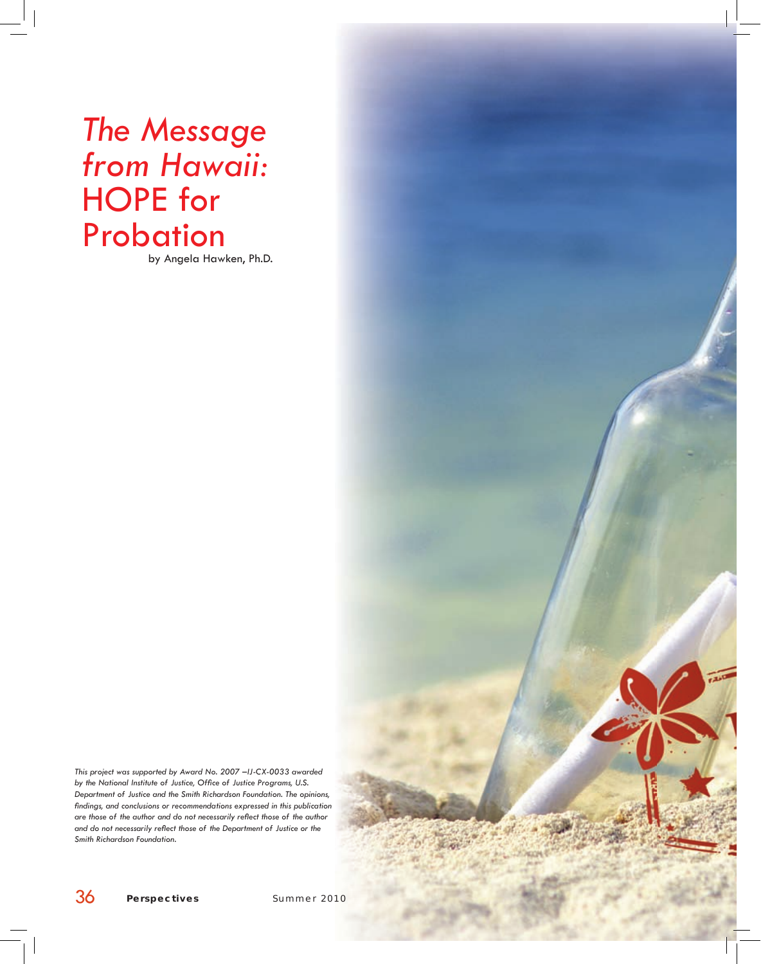# *The Message from Hawaii:*  HOPE for **Probation**

by Angela Hawken, Ph.D.

*This project was supported by Award No. 2007 –IJ-CX-0033 awarded*  by the National Institute of Justice, Office of Justice Programs, U.S. *Department of Justice and the Smith Richardson Foundation. The opinions,*  findings, and conclusions or recommendations expressed in this publication are those of the author and do not necessarily reflect those of the author and do not necessarily reflect those of the Department of Justice or the *Smith Richardson Foundation.*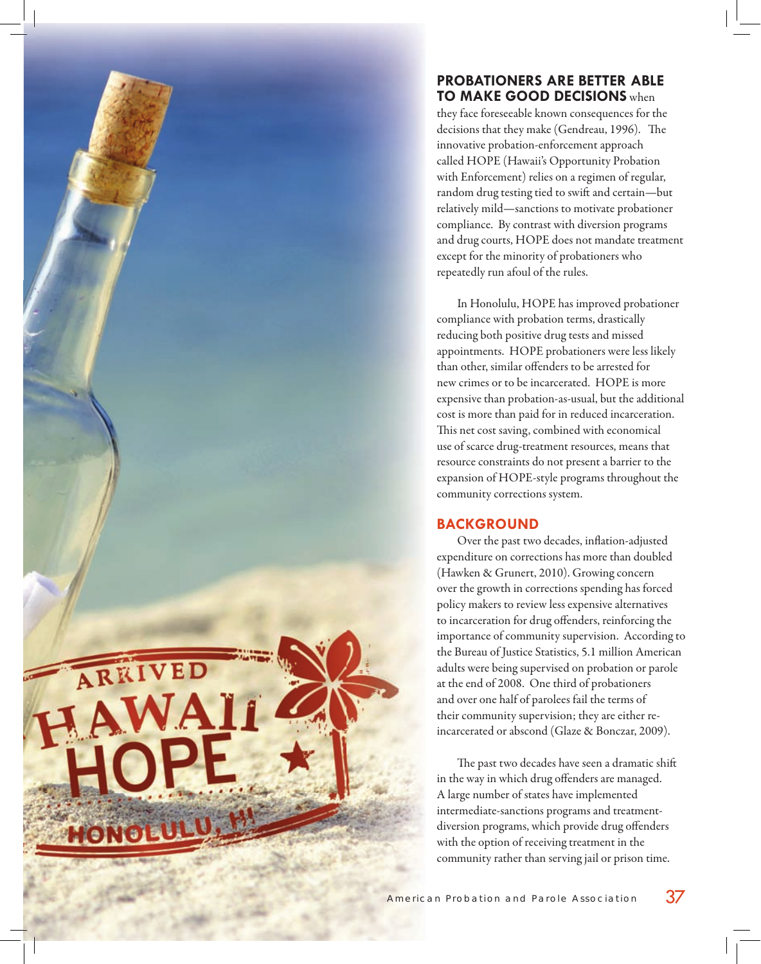## **PROBATIONERS ARE BETTER ABLE TO MAKE GOOD DECISIONS** when

they face foreseeable known consequences for the decisions that they make (Gendreau, 1996). The innovative probation-enforcement approach called HOPE (Hawaii's Opportunity Probation with Enforcement) relies on a regimen of regular, random drug testing tied to swift and certain—but relatively mild—sanctions to motivate probationer compliance. By contrast with diversion programs and drug courts, HOPE does not mandate treatment except for the minority of probationers who repeatedly run afoul of the rules.

In Honolulu, HOPE has improved probationer compliance with probation terms, drastically reducing both positive drug tests and missed appointments. HOPE probationers were less likely than other, similar offenders to be arrested for new crimes or to be incarcerated. HOPE is more expensive than probation-as-usual, but the additional cost is more than paid for in reduced incarceration. This net cost saving, combined with economical use of scarce drug-treatment resources, means that resource constraints do not present a barrier to the expansion of HOPE-style programs throughout the community corrections system.

# **BACKGROUND**

RRIVED

HONOLL

Over the past two decades, inflation-adjusted expenditure on corrections has more than doubled (Hawken & Grunert, 2010). Growing concern over the growth in corrections spending has forced policy makers to review less expensive alternatives to incarceration for drug offenders, reinforcing the importance of community supervision. According to the Bureau of Justice Statistics, 5.1 million American adults were being supervised on probation or parole at the end of 2008. One third of probationers and over one half of parolees fail the terms of their community supervision; they are either reincarcerated or abscond (Glaze & Bonczar, 2009).

The past two decades have seen a dramatic shift in the way in which drug offenders are managed. A large number of states have implemented intermediate-sanctions programs and treatmentdiversion programs, which provide drug offenders with the option of receiving treatment in the community rather than serving jail or prison time.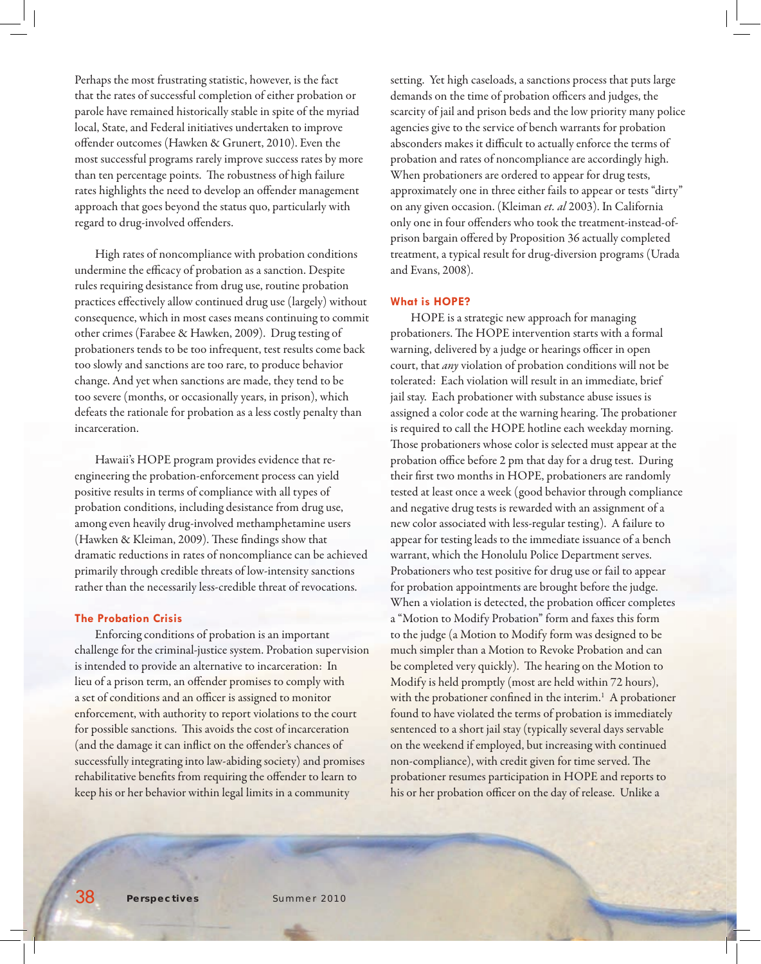Perhaps the most frustrating statistic, however, is the fact that the rates of successful completion of either probation or parole have remained historically stable in spite of the myriad local, State, and Federal initiatives undertaken to improve offender outcomes (Hawken & Grunert, 2010). Even the most successful programs rarely improve success rates by more than ten percentage points. The robustness of high failure rates highlights the need to develop an offender management approach that goes beyond the status quo, particularly with regard to drug-involved offenders.

High rates of noncompliance with probation conditions undermine the efficacy of probation as a sanction. Despite rules requiring desistance from drug use, routine probation practices effectively allow continued drug use (largely) without consequence, which in most cases means continuing to commit other crimes (Farabee & Hawken, 2009). Drug testing of probationers tends to be too infrequent, test results come back too slowly and sanctions are too rare, to produce behavior change. And yet when sanctions are made, they tend to be too severe (months, or occasionally years, in prison), which defeats the rationale for probation as a less costly penalty than incarceration.

Hawaii's HOPE program provides evidence that reengineering the probation-enforcement process can yield positive results in terms of compliance with all types of probation conditions, including desistance from drug use, among even heavily drug-involved methamphetamine users (Hawken & Kleiman, 2009). These findings show that dramatic reductions in rates of noncompliance can be achieved primarily through credible threats of low-intensity sanctions rather than the necessarily less-credible threat of revocations.

#### **The Probation Crisis**

Enforcing conditions of probation is an important challenge for the criminal-justice system. Probation supervision is intended to provide an alternative to incarceration: In lieu of a prison term, an offender promises to comply with a set of conditions and an officer is assigned to monitor enforcement, with authority to report violations to the court for possible sanctions. This avoids the cost of incarceration (and the damage it can inflict on the offender's chances of successfully integrating into law-abiding society) and promises rehabilitative benefits from requiring the offender to learn to keep his or her behavior within legal limits in a community

setting. Yet high caseloads, a sanctions process that puts large demands on the time of probation officers and judges, the scarcity of jail and prison beds and the low priority many police agencies give to the service of bench warrants for probation absconders makes it difficult to actually enforce the terms of probation and rates of noncompliance are accordingly high. When probationers are ordered to appear for drug tests, approximately one in three either fails to appear or tests "dirty" on any given occasion. (Kleiman *et. al* 2003). In California only one in four offenders who took the treatment-instead-ofprison bargain offered by Proposition 36 actually completed treatment, a typical result for drug-diversion programs (Urada and Evans, 2008).

#### **What is HOPE?**

HOPE is a strategic new approach for managing probationers. The HOPE intervention starts with a formal warning, delivered by a judge or hearings officer in open court, that *any* violation of probation conditions will not be tolerated: Each violation will result in an immediate, brief jail stay. Each probationer with substance abuse issues is assigned a color code at the warning hearing. The probationer is required to call the HOPE hotline each weekday morning. Those probationers whose color is selected must appear at the probation office before 2 pm that day for a drug test. During their first two months in HOPE, probationers are randomly tested at least once a week (good behavior through compliance and negative drug tests is rewarded with an assignment of a new color associated with less-regular testing). A failure to appear for testing leads to the immediate issuance of a bench warrant, which the Honolulu Police Department serves. Probationers who test positive for drug use or fail to appear for probation appointments are brought before the judge. When a violation is detected, the probation officer completes a "Motion to Modify Probation" form and faxes this form to the judge (a Motion to Modify form was designed to be much simpler than a Motion to Revoke Probation and can be completed very quickly). The hearing on the Motion to Modify is held promptly (most are held within 72 hours), with the probationer confined in the interim.<sup>1</sup> A probationer found to have violated the terms of probation is immediately sentenced to a short jail stay (typically several days servable on the weekend if employed, but increasing with continued non-compliance), with credit given for time served. The probationer resumes participation in HOPE and reports to his or her probation officer on the day of release. Unlike a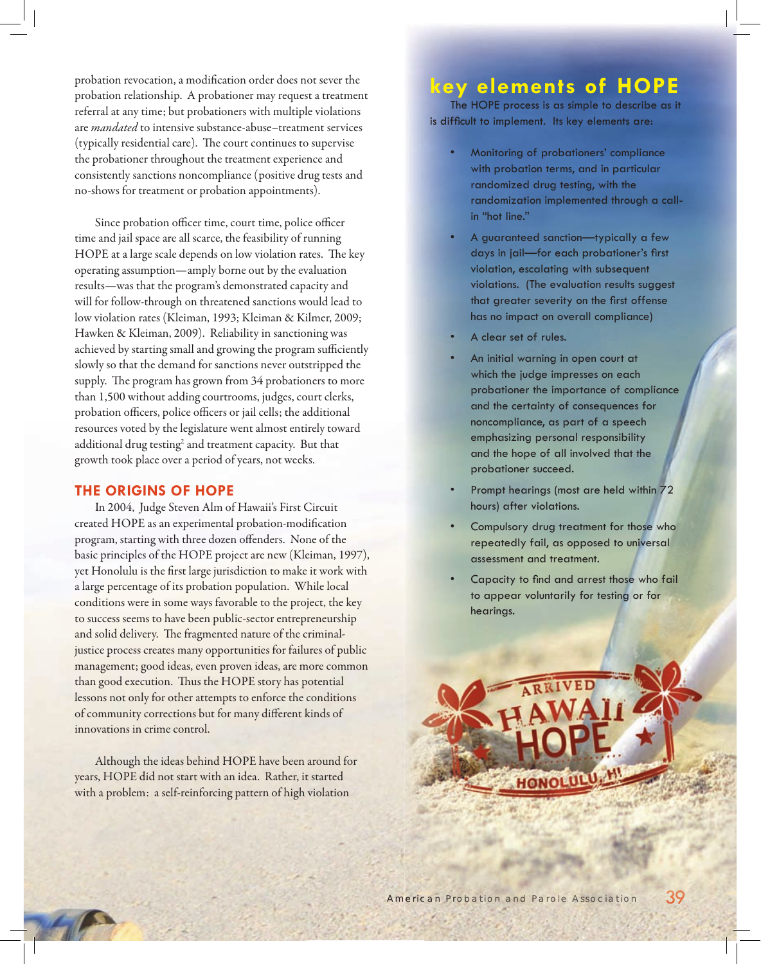probation revocation, a modification order does not sever the probation relationship. A probationer may request a treatment referral at any time; but probationers with multiple violations are *mandated* to intensive substance-abuse–treatment services (typically residential care). The court continues to supervise the probationer throughout the treatment experience and consistently sanctions noncompliance (positive drug tests and no-shows for treatment or probation appointments).

Since probation officer time, court time, police officer time and jail space are all scarce, the feasibility of running HOPE at a large scale depends on low violation rates. The key operating assumption—amply borne out by the evaluation results—was that the program's demonstrated capacity and will for follow-through on threatened sanctions would lead to low violation rates (Kleiman, 1993; Kleiman & Kilmer, 2009; Hawken & Kleiman, 2009). Reliability in sanctioning was achieved by starting small and growing the program sufficiently slowly so that the demand for sanctions never outstripped the supply. The program has grown from 34 probationers to more than 1,500 without adding courtrooms, judges, court clerks, probation officers, police officers or jail cells; the additional resources voted by the legislature went almost entirely toward additional drug testing $^2$  and treatment capacity. But that growth took place over a period of years, not weeks.

### **THE ORIGINS OF HOPE**

In 2004, Judge Steven Alm of Hawaii's First Circuit created HOPE as an experimental probation-modification program, starting with three dozen offenders. None of the basic principles of the HOPE project are new (Kleiman, 1997), yet Honolulu is the first large jurisdiction to make it work with a large percentage of its probation population. While local conditions were in some ways favorable to the project, the key to success seems to have been public-sector entrepreneurship and solid delivery. The fragmented nature of the criminaljustice process creates many opportunities for failures of public management; good ideas, even proven ideas, are more common than good execution. Thus the HOPE story has potential lessons not only for other attempts to enforce the conditions of community corrections but for many different kinds of innovations in crime control.

Although the ideas behind HOPE have been around for years, HOPE did not start with an idea. Rather, it started with a problem: a self-reinforcing pattern of high violation

# **key elements of HOPE**

The HOPE process is as simple to describe as it is difficult to implement. Its key elements are:

- Monitoring of probationers' compliance with probation terms, and in particular randomized drug testing, with the randomization implemented through a callin "hot line."
- A guaranteed sanction—typically a few days in jail-for each probationer's first violation, escalating with subsequent violations. (The evaluation results suggest that greater severity on the first offense has no impact on overall compliance)
- A clear set of rules.
- An initial warning in open court at which the judge impresses on each probationer the importance of compliance and the certainty of consequences for noncompliance, as part of a speech emphasizing personal responsibility and the hope of all involved that the probationer succeed.
- Prompt hearings (most are held within 72 hours) after violations.
- Compulsory drug treatment for those who repeatedly fail, as opposed to universal assessment and treatment.
- Capacity to find and arrest those who fail to appear voluntarily for testing or for hearings.

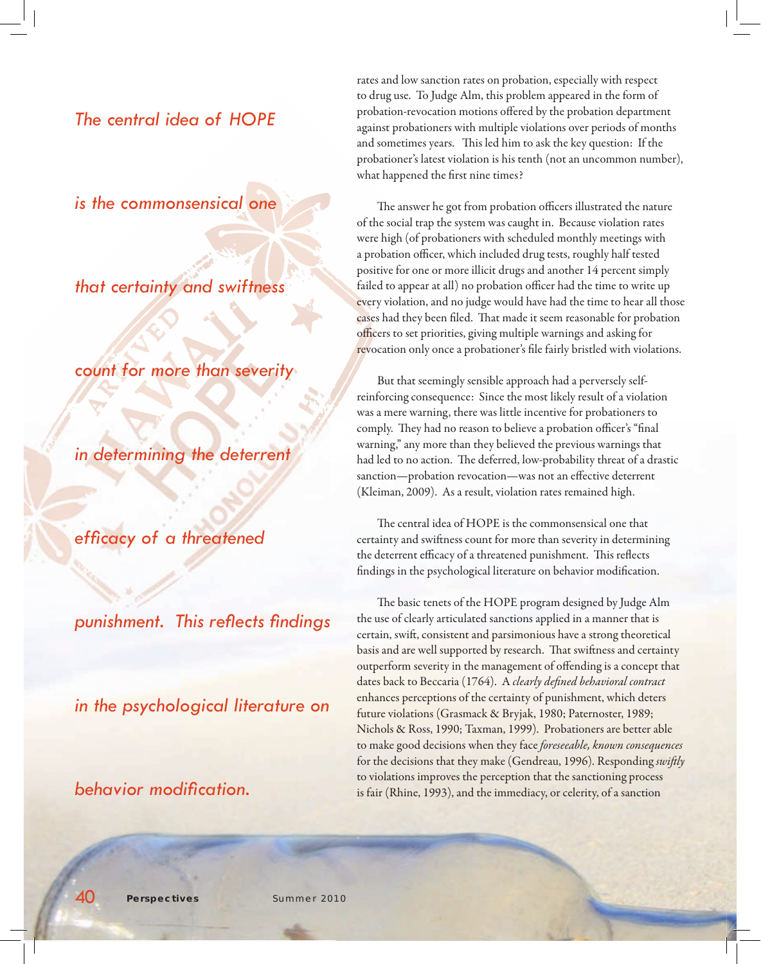# *The central idea of HOPE*

*is the commonsensical one* 

*that certainty and swiftness* 

*count for more than severity* 

*in determining the deterrent* 

efficacy of a threatened

*punishment. This refl ects fi ndings* 

*in the psychological literature on* 

*behavior modifi cation.*

rates and low sanction rates on probation, especially with respect to drug use. To Judge Alm, this problem appeared in the form of probation-revocation motions offered by the probation department against probationers with multiple violations over periods of months and sometimes years. This led him to ask the key question: If the probationer's latest violation is his tenth (not an uncommon number), what happened the first nine times?

The answer he got from probation officers illustrated the nature of the social trap the system was caught in. Because violation rates were high (of probationers with scheduled monthly meetings with a probation officer, which included drug tests, roughly half tested positive for one or more illicit drugs and another 14 percent simply failed to appear at all) no probation officer had the time to write up every violation, and no judge would have had the time to hear all those cases had they been filed. That made it seem reasonable for probation officers to set priorities, giving multiple warnings and asking for revocation only once a probationer's file fairly bristled with violations.

But that seemingly sensible approach had a perversely selfreinforcing consequence: Since the most likely result of a violation was a mere warning, there was little incentive for probationers to comply. They had no reason to believe a probation officer's "final warning," any more than they believed the previous warnings that had led to no action. The deferred, low-probability threat of a drastic sanction—probation revocation—was not an effective deterrent (Kleiman, 2009). As a result, violation rates remained high.

The central idea of HOPE is the commonsensical one that certainty and swiftness count for more than severity in determining the deterrent efficacy of a threatened punishment. This reflects findings in the psychological literature on behavior modification.

The basic tenets of the HOPE program designed by Judge Alm the use of clearly articulated sanctions applied in a manner that is certain, swift, consistent and parsimonious have a strong theoretical basis and are well supported by research. That swiftness and certainty outperform severity in the management of offending is a concept that dates back to Beccaria (1764). A *clearly defined behavioral contract* enhances perceptions of the certainty of punishment, which deters future violations (Grasmack & Bryjak, 1980; Paternoster, 1989; Nichols & Ross, 1990; Taxman, 1999). Probationers are better able to make good decisions when they face *foreseeable, known consequences* for the decisions that they make (Gendreau, 1996). Responding *swiftly* to violations improves the perception that the sanctioning process is fair (Rhine, 1993), and the immediacy, or celerity, of a sanction

40 *Perspectives* Summer 2010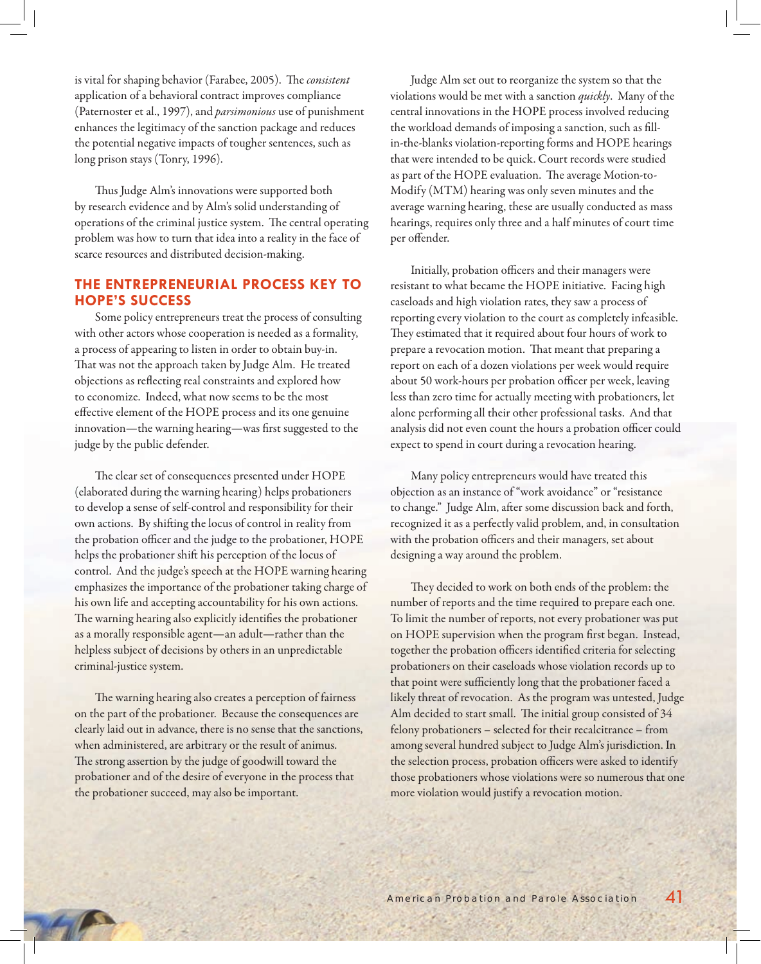is vital for shaping behavior (Farabee, 2005). The *consistent* application of a behavioral contract improves compliance (Paternoster et al., 1997), and *parsimonious* use of punishment enhances the legitimacy of the sanction package and reduces the potential negative impacts of tougher sentences, such as long prison stays (Tonry, 1996).

Thus Judge Alm's innovations were supported both by research evidence and by Alm's solid understanding of operations of the criminal justice system. The central operating problem was how to turn that idea into a reality in the face of scarce resources and distributed decision-making.

## **THE ENTREPRENEURIAL PROCESS KEY TO HOPE'S SUCCESS**

Some policy entrepreneurs treat the process of consulting with other actors whose cooperation is needed as a formality, a process of appearing to listen in order to obtain buy-in. That was not the approach taken by Judge Alm. He treated objections as reflecting real constraints and explored how to economize. Indeed, what now seems to be the most effective element of the HOPE process and its one genuine innovation—the warning hearing—was first suggested to the judge by the public defender.

The clear set of consequences presented under HOPE (elaborated during the warning hearing) helps probationers to develop a sense of self-control and responsibility for their own actions. By shifting the locus of control in reality from the probation officer and the judge to the probationer, HOPE helps the probationer shift his perception of the locus of control. And the judge's speech at the HOPE warning hearing emphasizes the importance of the probationer taking charge of his own life and accepting accountability for his own actions. The warning hearing also explicitly identifies the probationer as a morally responsible agent—an adult—rather than the helpless subject of decisions by others in an unpredictable criminal-justice system.

The warning hearing also creates a perception of fairness on the part of the probationer. Because the consequences are clearly laid out in advance, there is no sense that the sanctions, when administered, are arbitrary or the result of animus. The strong assertion by the judge of goodwill toward the probationer and of the desire of everyone in the process that the probationer succeed, may also be important.

Judge Alm set out to reorganize the system so that the violations would be met with a sanction *quickly*. Many of the central innovations in the HOPE process involved reducing the workload demands of imposing a sanction, such as fillin-the-blanks violation-reporting forms and HOPE hearings that were intended to be quick. Court records were studied as part of the HOPE evaluation. The average Motion-to-Modify (MTM) hearing was only seven minutes and the average warning hearing, these are usually conducted as mass hearings, requires only three and a half minutes of court time per offender.

Initially, probation officers and their managers were resistant to what became the HOPE initiative. Facing high caseloads and high violation rates, they saw a process of reporting every violation to the court as completely infeasible. They estimated that it required about four hours of work to prepare a revocation motion. That meant that preparing a report on each of a dozen violations per week would require about 50 work-hours per probation officer per week, leaving less than zero time for actually meeting with probationers, let alone performing all their other professional tasks. And that analysis did not even count the hours a probation officer could expect to spend in court during a revocation hearing.

Many policy entrepreneurs would have treated this objection as an instance of "work avoidance" or "resistance to change." Judge Alm, after some discussion back and forth, recognized it as a perfectly valid problem, and, in consultation with the probation officers and their managers, set about designing a way around the problem.

They decided to work on both ends of the problem: the number of reports and the time required to prepare each one. To limit the number of reports, not every probationer was put on HOPE supervision when the program first began. Instead, together the probation officers identified criteria for selecting probationers on their caseloads whose violation records up to that point were sufficiently long that the probationer faced a likely threat of revocation. As the program was untested, Judge Alm decided to start small. The initial group consisted of 34 felony probationers – selected for their recalcitrance – from among several hundred subject to Judge Alm's jurisdiction. In the selection process, probation officers were asked to identify those probationers whose violations were so numerous that one more violation would justify a revocation motion.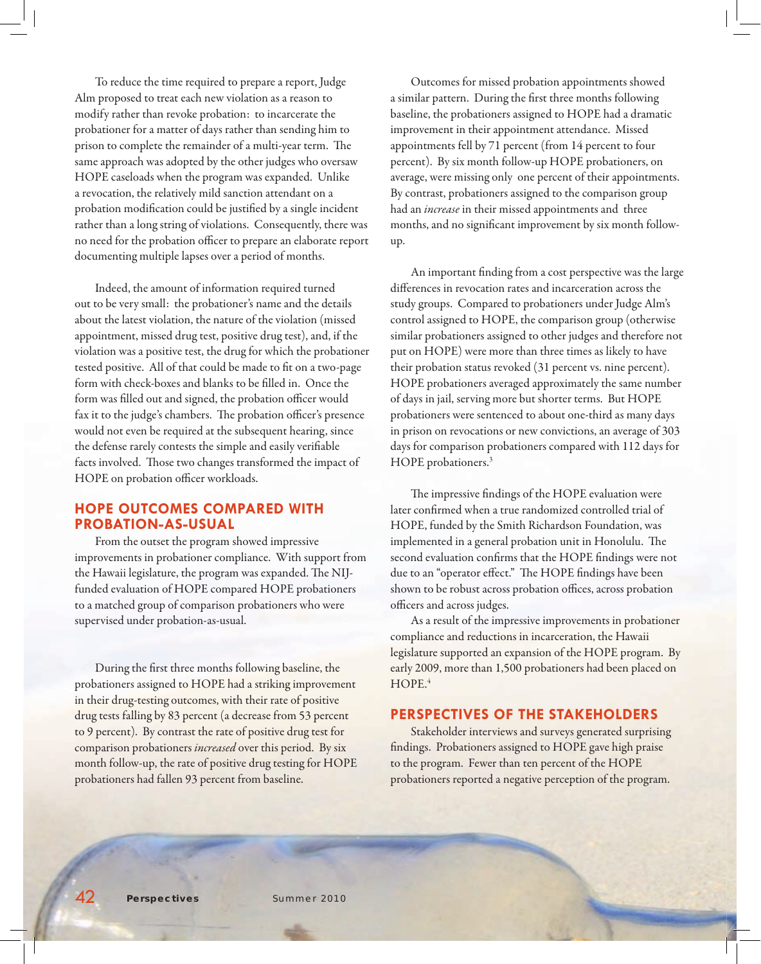To reduce the time required to prepare a report, Judge Alm proposed to treat each new violation as a reason to modify rather than revoke probation: to incarcerate the probationer for a matter of days rather than sending him to prison to complete the remainder of a multi-year term. The same approach was adopted by the other judges who oversaw HOPE caseloads when the program was expanded. Unlike a revocation, the relatively mild sanction attendant on a probation modification could be justified by a single incident rather than a long string of violations. Consequently, there was no need for the probation officer to prepare an elaborate report documenting multiple lapses over a period of months.

Indeed, the amount of information required turned out to be very small: the probationer's name and the details about the latest violation, the nature of the violation (missed appointment, missed drug test, positive drug test), and, if the violation was a positive test, the drug for which the probationer tested positive. All of that could be made to fit on a two-page form with check-boxes and blanks to be filled in. Once the form was filled out and signed, the probation officer would fax it to the judge's chambers. The probation officer's presence would not even be required at the subsequent hearing, since the defense rarely contests the simple and easily verifiable facts involved. Those two changes transformed the impact of HOPE on probation officer workloads.

## **HOPE OUTCOMES COMPARED WITH PROBATION-AS-USUAL**

From the outset the program showed impressive improvements in probationer compliance. With support from the Hawaii legislature, the program was expanded. The NIJfunded evaluation of HOPE compared HOPE probationers to a matched group of comparison probationers who were supervised under probation-as-usual.

During the first three months following baseline, the probationers assigned to HOPE had a striking improvement in their drug-testing outcomes, with their rate of positive drug tests falling by 83 percent (a decrease from 53 percent to 9 percent). By contrast the rate of positive drug test for comparison probationers *increased* over this period. By six month follow-up, the rate of positive drug testing for HOPE probationers had fallen 93 percent from baseline.

Outcomes for missed probation appointments showed a similar pattern. During the first three months following baseline, the probationers assigned to HOPE had a dramatic improvement in their appointment attendance. Missed appointments fell by 71 percent (from 14 percent to four percent). By six month follow-up HOPE probationers, on average, were missing only one percent of their appointments. By contrast, probationers assigned to the comparison group had an *increase* in their missed appointments and three months, and no significant improvement by six month followup.

An important finding from a cost perspective was the large differences in revocation rates and incarceration across the study groups. Compared to probationers under Judge Alm's control assigned to HOPE, the comparison group (otherwise similar probationers assigned to other judges and therefore not put on HOPE) were more than three times as likely to have their probation status revoked (31 percent vs. nine percent). HOPE probationers averaged approximately the same number of days in jail, serving more but shorter terms. But HOPE probationers were sentenced to about one-third as many days in prison on revocations or new convictions, an average of 303 days for comparison probationers compared with 112 days for HOPE probationers.<sup>3</sup>

The impressive findings of the HOPE evaluation were later confirmed when a true randomized controlled trial of HOPE, funded by the Smith Richardson Foundation, was implemented in a general probation unit in Honolulu. The second evaluation confirms that the HOPE findings were not due to an "operator effect." The HOPE findings have been shown to be robust across probation offices, across probation officers and across judges.

As a result of the impressive improvements in probationer compliance and reductions in incarceration, the Hawaii legislature supported an expansion of the HOPE program. By early 2009, more than 1,500 probationers had been placed on  $HOPE<sup>4</sup>$ 

## **PERSPECTIVES OF THE STAKEHOLDERS**

Stakeholder interviews and surveys generated surprising findings. Probationers assigned to HOPE gave high praise to the program. Fewer than ten percent of the HOPE probationers reported a negative perception of the program.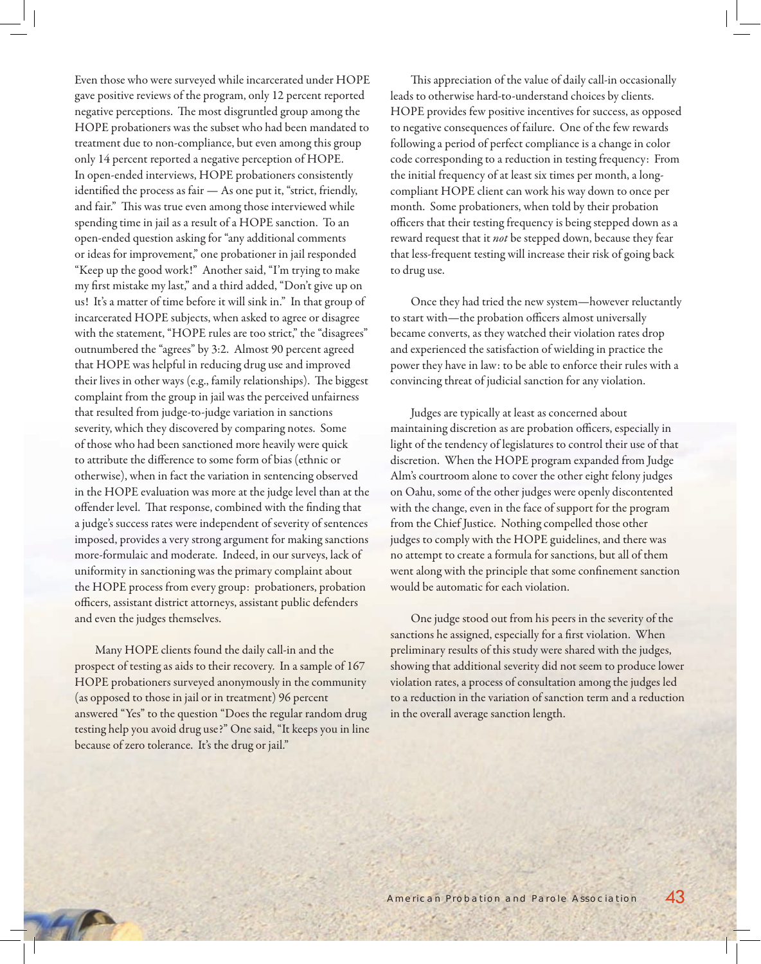Even those who were surveyed while incarcerated under HOPE gave positive reviews of the program, only 12 percent reported negative perceptions. The most disgruntled group among the HOPE probationers was the subset who had been mandated to treatment due to non-compliance, but even among this group only 14 percent reported a negative perception of HOPE. In open-ended interviews, HOPE probationers consistently identified the process as fair  $-$  As one put it, "strict, friendly, and fair." This was true even among those interviewed while spending time in jail as a result of a HOPE sanction. To an open-ended question asking for "any additional comments or ideas for improvement," one probationer in jail responded "Keep up the good work!" Another said, "I'm trying to make my first mistake my last," and a third added, "Don't give up on us! It's a matter of time before it will sink in." In that group of incarcerated HOPE subjects, when asked to agree or disagree with the statement, "HOPE rules are too strict," the "disagrees" outnumbered the "agrees" by 3:2. Almost 90 percent agreed that HOPE was helpful in reducing drug use and improved their lives in other ways (e.g., family relationships). The biggest complaint from the group in jail was the perceived unfairness that resulted from judge-to-judge variation in sanctions severity, which they discovered by comparing notes. Some of those who had been sanctioned more heavily were quick to attribute the difference to some form of bias (ethnic or otherwise), when in fact the variation in sentencing observed in the HOPE evaluation was more at the judge level than at the offender level. That response, combined with the finding that a judge's success rates were independent of severity of sentences imposed, provides a very strong argument for making sanctions more-formulaic and moderate. Indeed, in our surveys, lack of uniformity in sanctioning was the primary complaint about the HOPE process from every group: probationers, probation officers, assistant district attorneys, assistant public defenders and even the judges themselves.

Many HOPE clients found the daily call-in and the prospect of testing as aids to their recovery. In a sample of 167 HOPE probationers surveyed anonymously in the community (as opposed to those in jail or in treatment) 96 percent answered "Yes" to the question "Does the regular random drug testing help you avoid drug use?" One said, "It keeps you in line because of zero tolerance. It's the drug or jail."

This appreciation of the value of daily call-in occasionally leads to otherwise hard-to-understand choices by clients. HOPE provides few positive incentives for success, as opposed to negative consequences of failure. One of the few rewards following a period of perfect compliance is a change in color code corresponding to a reduction in testing frequency: From the initial frequency of at least six times per month, a longcompliant HOPE client can work his way down to once per month. Some probationers, when told by their probation officers that their testing frequency is being stepped down as a reward request that it *not* be stepped down, because they fear that less-frequent testing will increase their risk of going back to drug use.

Once they had tried the new system—however reluctantly to start with—the probation officers almost universally became converts, as they watched their violation rates drop and experienced the satisfaction of wielding in practice the power they have in law: to be able to enforce their rules with a convincing threat of judicial sanction for any violation.

Judges are typically at least as concerned about maintaining discretion as are probation officers, especially in light of the tendency of legislatures to control their use of that discretion. When the HOPE program expanded from Judge Alm's courtroom alone to cover the other eight felony judges on Oahu, some of the other judges were openly discontented with the change, even in the face of support for the program from the Chief Justice. Nothing compelled those other judges to comply with the HOPE guidelines, and there was no attempt to create a formula for sanctions, but all of them went along with the principle that some confinement sanction would be automatic for each violation.

One judge stood out from his peers in the severity of the sanctions he assigned, especially for a first violation. When preliminary results of this study were shared with the judges, showing that additional severity did not seem to produce lower violation rates, a process of consultation among the judges led to a reduction in the variation of sanction term and a reduction in the overall average sanction length.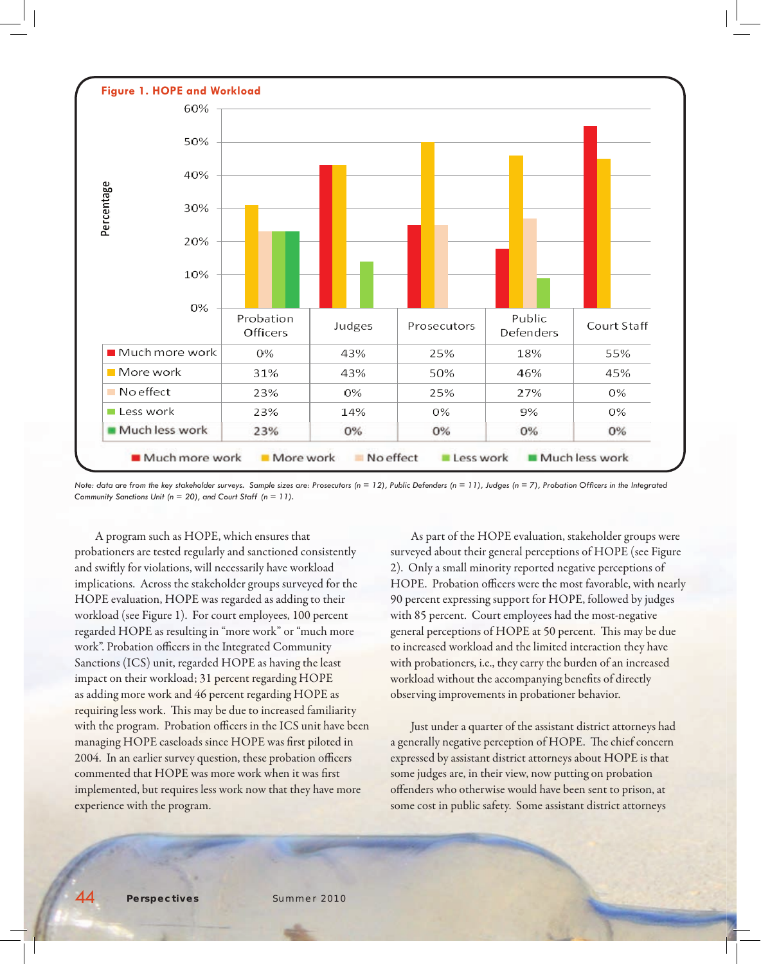

*Note: data are from the key stakeholder surveys. Sample sizes are: Prosecutors (n = 12), Public Defenders (n = 11), Judges (n = 7), Probation Officers in the Integrated Community Sanctions Unit (n = 20), and Court Staff (n = 11).*

A program such as HOPE, which ensures that probationers are tested regularly and sanctioned consistently and swiftly for violations, will necessarily have workload implications. Across the stakeholder groups surveyed for the HOPE evaluation, HOPE was regarded as adding to their workload (see Figure 1). For court employees, 100 percent regarded HOPE as resulting in "more work" or "much more work". Probation officers in the Integrated Community Sanctions (ICS) unit, regarded HOPE as having the least impact on their workload; 31 percent regarding HOPE as adding more work and 46 percent regarding HOPE as requiring less work. This may be due to increased familiarity with the program. Probation officers in the ICS unit have been managing HOPE caseloads since HOPE was first piloted in 2004. In an earlier survey question, these probation officers commented that HOPE was more work when it was first implemented, but requires less work now that they have more experience with the program.

As part of the HOPE evaluation, stakeholder groups were surveyed about their general perceptions of HOPE (see Figure 2). Only a small minority reported negative perceptions of HOPE. Probation officers were the most favorable, with nearly 90 percent expressing support for HOPE, followed by judges with 85 percent. Court employees had the most-negative general perceptions of HOPE at 50 percent. This may be due to increased workload and the limited interaction they have with probationers, i.e., they carry the burden of an increased workload without the accompanying benefits of directly observing improvements in probationer behavior.

Just under a quarter of the assistant district attorneys had a generally negative perception of HOPE. The chief concern expressed by assistant district attorneys about HOPE is that some judges are, in their view, now putting on probation offenders who otherwise would have been sent to prison, at some cost in public safety. Some assistant district attorneys

44 *Perspectives* Summer 2010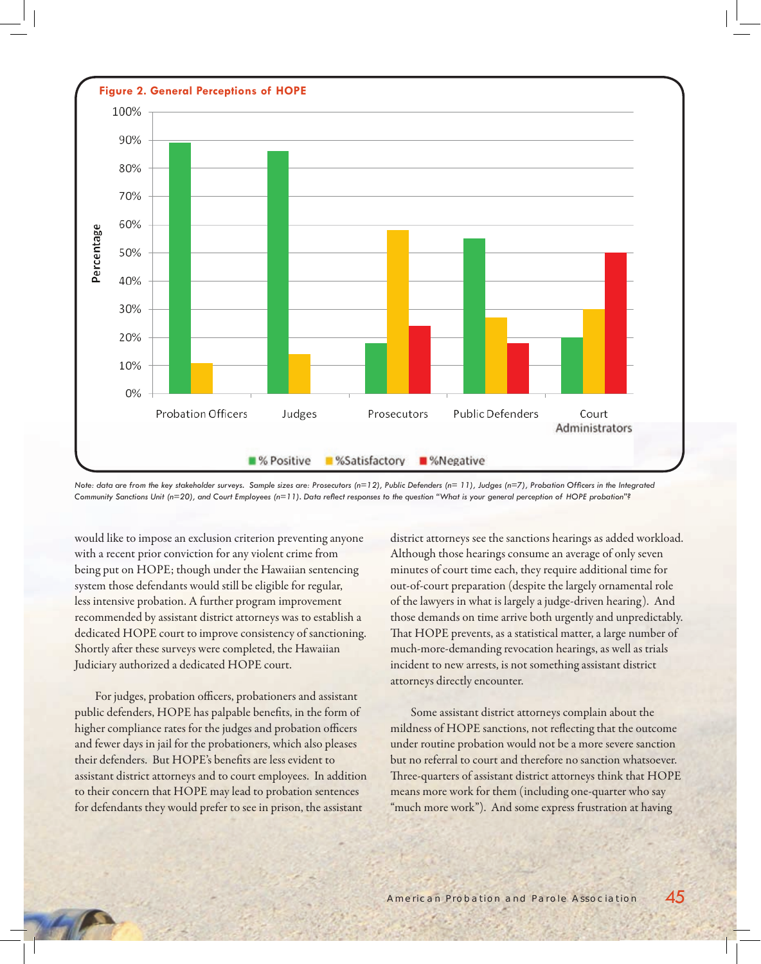

Note: data are from the key stakeholder surveys. Sample sizes are: Prosecutors (n=12), Public Defenders (n=11), Judges (n=7), Probation Officers in the Integrated Community Sanctions Unit (n=20), and Court Employees (n=11). Data reflect responses to the question "What is your general perception of HOPE probation"?

would like to impose an exclusion criterion preventing anyone with a recent prior conviction for any violent crime from being put on HOPE; though under the Hawaiian sentencing system those defendants would still be eligible for regular, less intensive probation. A further program improvement recommended by assistant district attorneys was to establish a dedicated HOPE court to improve consistency of sanctioning. Shortly after these surveys were completed, the Hawaiian Judiciary authorized a dedicated HOPE court.

For judges, probation officers, probationers and assistant public defenders, HOPE has palpable benefits, in the form of higher compliance rates for the judges and probation officers and fewer days in jail for the probationers, which also pleases their defenders. But HOPE's benefits are less evident to assistant district attorneys and to court employees. In addition to their concern that HOPE may lead to probation sentences for defendants they would prefer to see in prison, the assistant

district attorneys see the sanctions hearings as added workload. Although those hearings consume an average of only seven minutes of court time each, they require additional time for out-of-court preparation (despite the largely ornamental role of the lawyers in what is largely a judge-driven hearing). And those demands on time arrive both urgently and unpredictably. That HOPE prevents, as a statistical matter, a large number of much-more-demanding revocation hearings, as well as trials incident to new arrests, is not something assistant district attorneys directly encounter.

Some assistant district attorneys complain about the mildness of HOPE sanctions, not reflecting that the outcome under routine probation would not be a more severe sanction but no referral to court and therefore no sanction whatsoever. Three-quarters of assistant district attorneys think that HOPE means more work for them (including one-quarter who say "much more work"). And some express frustration at having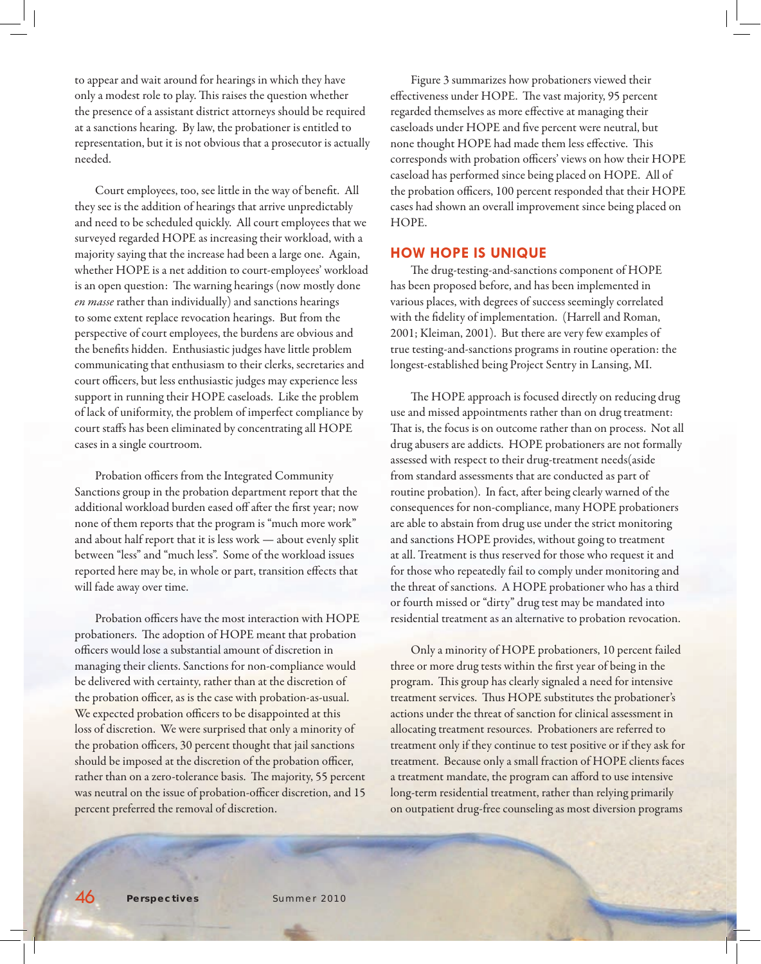to appear and wait around for hearings in which they have only a modest role to play. This raises the question whether the presence of a assistant district attorneys should be required at a sanctions hearing. By law, the probationer is entitled to representation, but it is not obvious that a prosecutor is actually needed.

Court employees, too, see little in the way of benefit. All they see is the addition of hearings that arrive unpredictably and need to be scheduled quickly. All court employees that we surveyed regarded HOPE as increasing their workload, with a majority saying that the increase had been a large one. Again, whether HOPE is a net addition to court-employees' workload is an open question: The warning hearings (now mostly done *en masse* rather than individually) and sanctions hearings to some extent replace revocation hearings. But from the perspective of court employees, the burdens are obvious and the benefits hidden. Enthusiastic judges have little problem communicating that enthusiasm to their clerks, secretaries and court officers, but less enthusiastic judges may experience less support in running their HOPE caseloads. Like the problem of lack of uniformity, the problem of imperfect compliance by court staffs has been eliminated by concentrating all HOPE cases in a single courtroom.

Probation officers from the Integrated Community Sanctions group in the probation department report that the additional workload burden eased off after the first year; now none of them reports that the program is "much more work" and about half report that it is less work — about evenly split between "less" and "much less". Some of the workload issues reported here may be, in whole or part, transition effects that will fade away over time.

Probation officers have the most interaction with HOPE probationers. The adoption of HOPE meant that probation officers would lose a substantial amount of discretion in managing their clients. Sanctions for non-compliance would be delivered with certainty, rather than at the discretion of the probation officer, as is the case with probation-as-usual. We expected probation officers to be disappointed at this loss of discretion. We were surprised that only a minority of the probation officers, 30 percent thought that jail sanctions should be imposed at the discretion of the probation officer, rather than on a zero-tolerance basis. The majority, 55 percent was neutral on the issue of probation-officer discretion, and 15 percent preferred the removal of discretion.

Figure 3 summarizes how probationers viewed their effectiveness under HOPE. The vast majority, 95 percent regarded themselves as more effective at managing their caseloads under HOPE and five percent were neutral, but none thought HOPE had made them less effective. This corresponds with probation officers' views on how their HOPE caseload has performed since being placed on HOPE. All of the probation officers, 100 percent responded that their HOPE cases had shown an overall improvement since being placed on HOPE.

#### **HOW HOPE IS UNIQUE**

The drug-testing-and-sanctions component of HOPE has been proposed before, and has been implemented in various places, with degrees of success seemingly correlated with the fidelity of implementation. (Harrell and Roman, 2001; Kleiman, 2001). But there are very few examples of true testing-and-sanctions programs in routine operation: the longest-established being Project Sentry in Lansing, MI.

The HOPE approach is focused directly on reducing drug use and missed appointments rather than on drug treatment: That is, the focus is on outcome rather than on process. Not all drug abusers are addicts. HOPE probationers are not formally assessed with respect to their drug-treatment needs(aside from standard assessments that are conducted as part of routine probation). In fact, after being clearly warned of the consequences for non-compliance, many HOPE probationers are able to abstain from drug use under the strict monitoring and sanctions HOPE provides, without going to treatment at all. Treatment is thus reserved for those who request it and for those who repeatedly fail to comply under monitoring and the threat of sanctions. A HOPE probationer who has a third or fourth missed or "dirty" drug test may be mandated into residential treatment as an alternative to probation revocation.

Only a minority of HOPE probationers, 10 percent failed three or more drug tests within the first year of being in the program. This group has clearly signaled a need for intensive treatment services. Thus HOPE substitutes the probationer's actions under the threat of sanction for clinical assessment in allocating treatment resources. Probationers are referred to treatment only if they continue to test positive or if they ask for treatment. Because only a small fraction of HOPE clients faces a treatment mandate, the program can afford to use intensive long-term residential treatment, rather than relying primarily on outpatient drug-free counseling as most diversion programs

46 *Perspectives* Summer 2010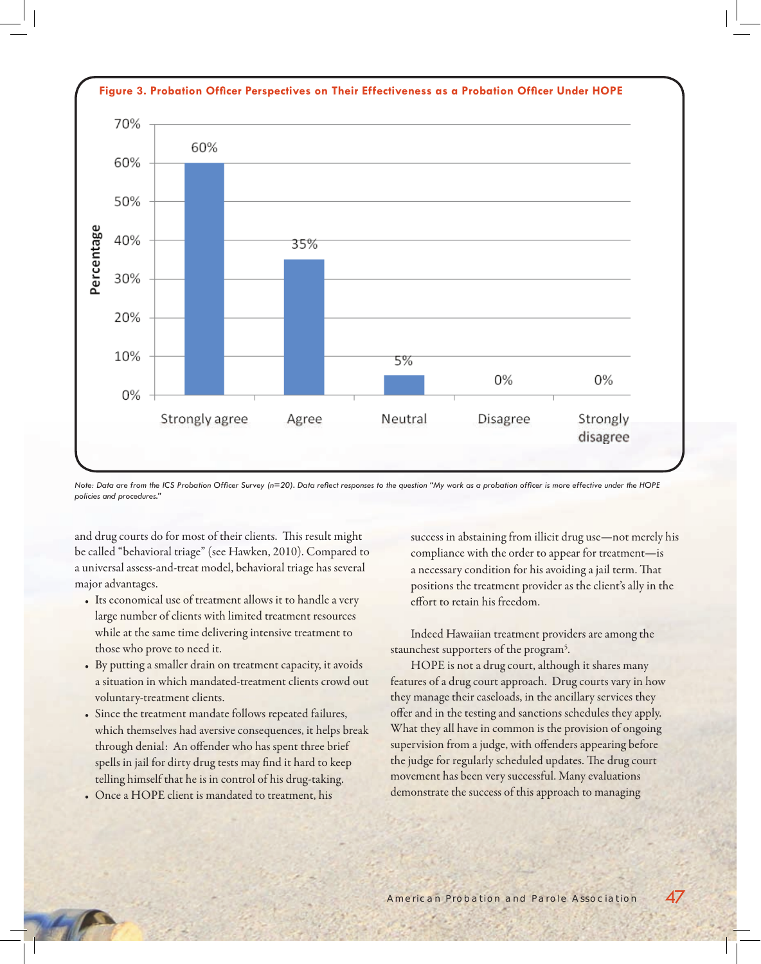

Note: Data are from the ICS Probation Officer Survey (n=20). Data reflect responses to the question "My work as a probation officer is more effective under the HOPE *policies and procedures."*

and drug courts do for most of their clients. This result might be called "behavioral triage" (see Hawken, 2010). Compared to a universal assess-and-treat model, behavioral triage has several major advantages.

- Its economical use of treatment allows it to handle a very large number of clients with limited treatment resources while at the same time delivering intensive treatment to those who prove to need it.
- By putting a smaller drain on treatment capacity, it avoids a situation in which mandated-treatment clients crowd out voluntary-treatment clients.
- • Since the treatment mandate follows repeated failures, which themselves had aversive consequences, it helps break through denial: An offender who has spent three brief spells in jail for dirty drug tests may find it hard to keep telling himself that he is in control of his drug-taking.
- Once a HOPE client is mandated to treatment, his

success in abstaining from illicit drug use—not merely his compliance with the order to appear for treatment—is a necessary condition for his avoiding a jail term. That positions the treatment provider as the client's ally in the effort to retain his freedom

Indeed Hawaiian treatment providers are among the staunchest supporters of the program<sup>5</sup>.

HOPE is not a drug court, although it shares many features of a drug court approach. Drug courts vary in how they manage their caseloads, in the ancillary services they offer and in the testing and sanctions schedules they apply. What they all have in common is the provision of ongoing supervision from a judge, with offenders appearing before the judge for regularly scheduled updates. The drug court movement has been very successful. Many evaluations demonstrate the success of this approach to managing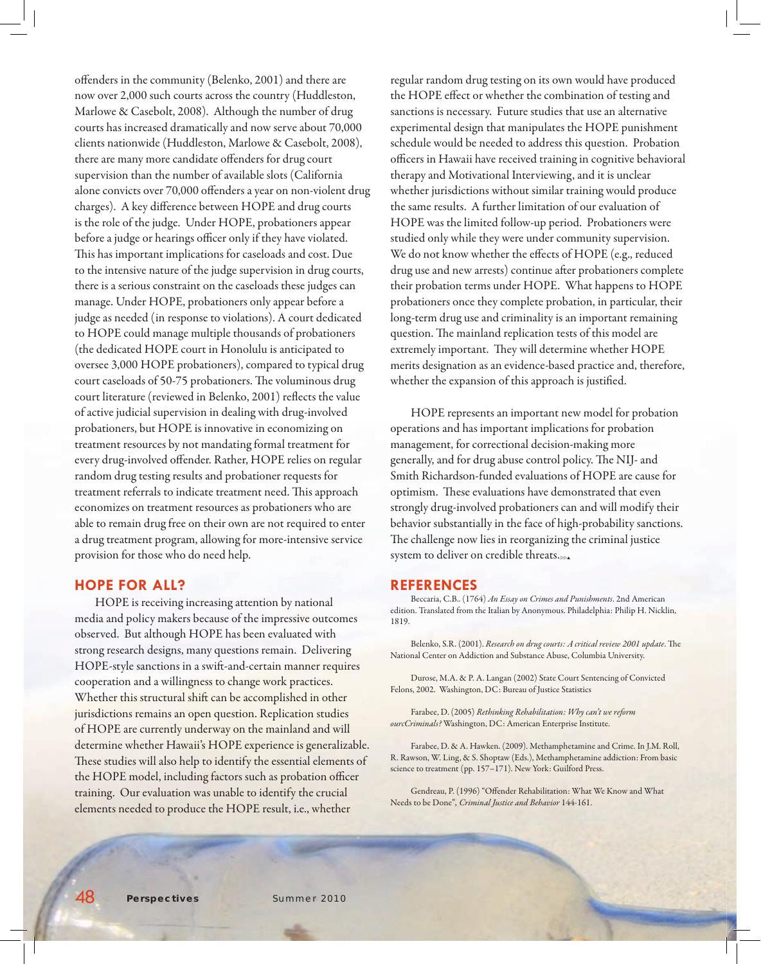offenders in the community (Belenko, 2001) and there are now over 2,000 such courts across the country (Huddleston, Marlowe & Casebolt, 2008). Although the number of drug courts has increased dramatically and now serve about 70,000 clients nationwide (Huddleston, Marlowe & Casebolt, 2008), there are many more candidate offenders for drug court supervision than the number of available slots (California alone convicts over 70,000 offenders a year on non-violent drug charges). A key difference between HOPE and drug courts is the role of the judge. Under HOPE, probationers appear before a judge or hearings officer only if they have violated. This has important implications for caseloads and cost. Due to the intensive nature of the judge supervision in drug courts, there is a serious constraint on the caseloads these judges can manage. Under HOPE, probationers only appear before a judge as needed (in response to violations). A court dedicated to HOPE could manage multiple thousands of probationers (the dedicated HOPE court in Honolulu is anticipated to oversee 3,000 HOPE probationers), compared to typical drug court caseloads of 50-75 probationers. The voluminous drug court literature (reviewed in Belenko, 2001) reflects the value of active judicial supervision in dealing with drug-involved probationers, but HOPE is innovative in economizing on treatment resources by not mandating formal treatment for every drug-involved offender. Rather, HOPE relies on regular random drug testing results and probationer requests for treatment referrals to indicate treatment need. This approach economizes on treatment resources as probationers who are able to remain drug free on their own are not required to enter a drug treatment program, allowing for more-intensive service provision for those who do need help.

### **HOPE FOR ALL?**

HOPE is receiving increasing attention by national media and policy makers because of the impressive outcomes observed. But although HOPE has been evaluated with strong research designs, many questions remain. Delivering HOPE-style sanctions in a swift -and-certain manner requires cooperation and a willingness to change work practices. Whether this structural shift can be accomplished in other jurisdictions remains an open question. Replication studies of HOPE are currently underway on the mainland and will determine whether Hawaii's HOPE experience is generalizable. These studies will also help to identify the essential elements of the HOPE model, including factors such as probation officer training. Our evaluation was unable to identify the crucial elements needed to produce the HOPE result, i.e., whether

regular random drug testing on its own would have produced the HOPE effect or whether the combination of testing and sanctions is necessary. Future studies that use an alternative experimental design that manipulates the HOPE punishment schedule would be needed to address this question. Probation officers in Hawaii have received training in cognitive behavioral therapy and Motivational Interviewing, and it is unclear whether jurisdictions without similar training would produce the same results. A further limitation of our evaluation of HOPE was the limited follow-up period. Probationers were studied only while they were under community supervision. We do not know whether the effects of HOPE (e.g., reduced drug use and new arrests) continue after probationers complete their probation terms under HOPE. What happens to HOPE probationers once they complete probation, in particular, their long-term drug use and criminality is an important remaining question. The mainland replication tests of this model are extremely important. They will determine whether HOPE merits designation as an evidence-based practice and, therefore, whether the expansion of this approach is justified.

HOPE represents an important new model for probation operations and has important implications for probation management, for correctional decision-making more generally, and for drug abuse control policy. The NIJ- and Smith Richardson-funded evaluations of HOPE are cause for optimism. These evaluations have demonstrated that even strongly drug-involved probationers can and will modify their behavior substantially in the face of high-probability sanctions. The challenge now lies in reorganizing the criminal justice system to deliver on credible threats.

#### **REFERENCES**

Beccaria, C.B.. (1764) *An Essay on Crimes and Punishments*. 2nd American edition. Translated from the Italian by Anonymous. Philadelphia: Philip H. Nicklin, 1819.

Belenko, S.R. (2001). *Research on drug courts: A critical review 2001 update*. The National Center on Addiction and Substance Abuse, Columbia University.

Durose, M.A. & P. A. Langan (2002) State Court Sentencing of Convicted Felons, 2002. Washington, DC: Bureau of Justice Statistics

Farabee, D. (2005) *Rethinking Rehabilitation: Why can't we reform ourcCriminals?* Washington, DC: American Enterprise Institute.

Farabee, D. & A. Hawken. (2009). Methamphetamine and Crime. In J.M. Roll, R. Rawson, W. Ling, & S. Shoptaw (Eds.), Methamphetamine addiction: From basic science to treatment (pp. 157–171). New York: Guilford Press.

Gendreau, P. (1996) "Offender Rehabilitation: What We Know and What Needs to be Done"*, Criminal Justice and Behavior* 144-161.